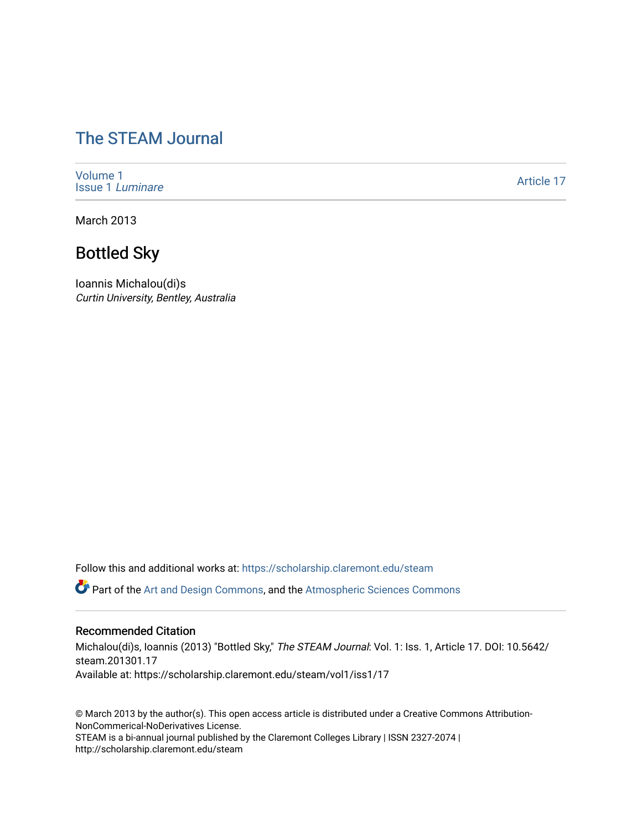# [The STEAM Journal](https://scholarship.claremont.edu/steam)

[Volume 1](https://scholarship.claremont.edu/steam/vol1) [Issue 1](https://scholarship.claremont.edu/steam/vol1/iss1) Luminare

[Article 17](https://scholarship.claremont.edu/steam/vol1/iss1/17) 

March 2013

# Bottled Sky

Ioannis Michalou(di)s Curtin University, Bentley, Australia

Follow this and additional works at: [https://scholarship.claremont.edu/steam](https://scholarship.claremont.edu/steam?utm_source=scholarship.claremont.edu%2Fsteam%2Fvol1%2Fiss1%2F17&utm_medium=PDF&utm_campaign=PDFCoverPages) 

Part of the [Art and Design Commons](https://network.bepress.com/hgg/discipline/1049?utm_source=scholarship.claremont.edu%2Fsteam%2Fvol1%2Fiss1%2F17&utm_medium=PDF&utm_campaign=PDFCoverPages), and the [Atmospheric Sciences Commons](https://network.bepress.com/hgg/discipline/187?utm_source=scholarship.claremont.edu%2Fsteam%2Fvol1%2Fiss1%2F17&utm_medium=PDF&utm_campaign=PDFCoverPages)

#### Recommended Citation

Michalou(di)s, Ioannis (2013) "Bottled Sky," The STEAM Journal: Vol. 1: Iss. 1, Article 17. DOI: 10.5642/ steam.201301.17 Available at: https://scholarship.claremont.edu/steam/vol1/iss1/17

© March 2013 by the author(s). This open access article is distributed under a Creative Commons Attribution-NonCommerical-NoDerivatives License. STEAM is a bi-annual journal published by the Claremont Colleges Library | ISSN 2327-2074 | http://scholarship.claremont.edu/steam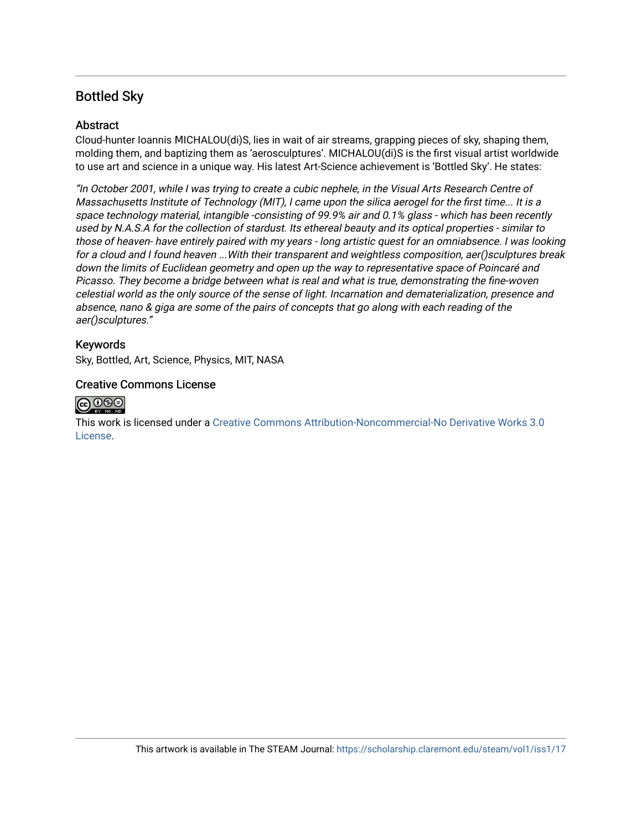### Bottled Sky

### Abstract

Cloud-hunter Ioannis ΜICHALOU(di)S, lies in wait of air streams, grapping pieces of sky, shaping them, molding them, and baptizing them as 'aerosculptures'. MICHALOU(di)S is the first visual artist worldwide to use art and science in a unique way. His latest Art-Science achievement is 'Bottled Sky'. He states:

"In October 2001, while I was trying to create a cubic nephele, in the Visual Arts Research Centre of Massachusetts Institute of Technology (MIT), I came upon the silica aerogel for the first time... It is a space technology material, intangible -consisting of 99.9% air and 0.1% glass - which has been recently used by N.A.S.A for the collection of stardust. Its ethereal beauty and its optical properties - similar to those of heaven- have entirely paired with my years - long artistic quest for an omniabsence. I was looking for a cloud and I found heaven ...With their transparent and weightless composition, aer()sculptures break down the limits of Euclidean geometry and open up the way to representative space of Poincaré and Picasso. They become a bridge between what is real and what is true, demonstrating the fine-woven celestial world as the only source of the sense of light. Incarnation and dematerialization, presence and absence, nano & giga are some of the pairs of concepts that go along with each reading of the aer()sculptures."

#### Keywords

Sky, Bottled, Art, Science, Physics, MIT, NASA

#### Creative Commons License



This work is licensed under a [Creative Commons Attribution-Noncommercial-No Derivative Works 3.0](https://creativecommons.org/licenses/by-nc-nd/3.0/) [License](https://creativecommons.org/licenses/by-nc-nd/3.0/).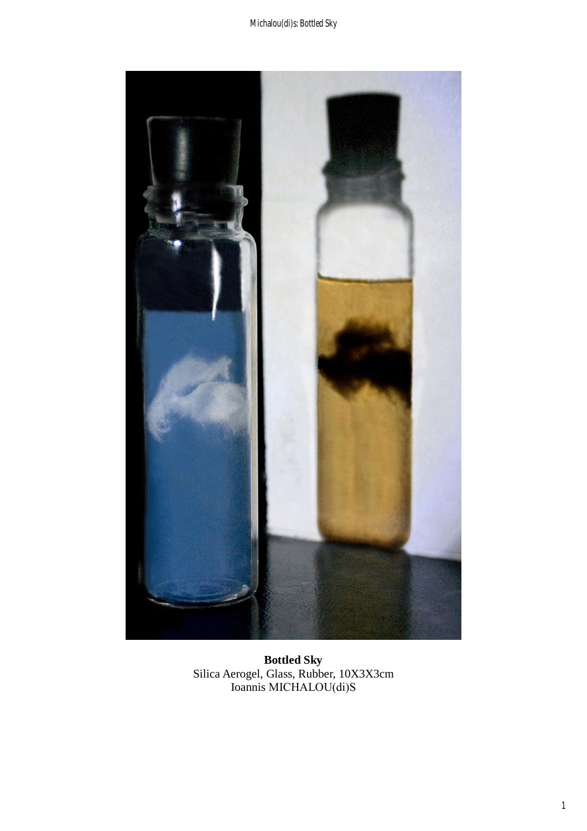Michalou(di)s: Bottled Sky



Bottled Sky<br>Silica Aerogel, Glass, Rubber, 10X3X3cm<br>Ioannis MICHALOU(di)S